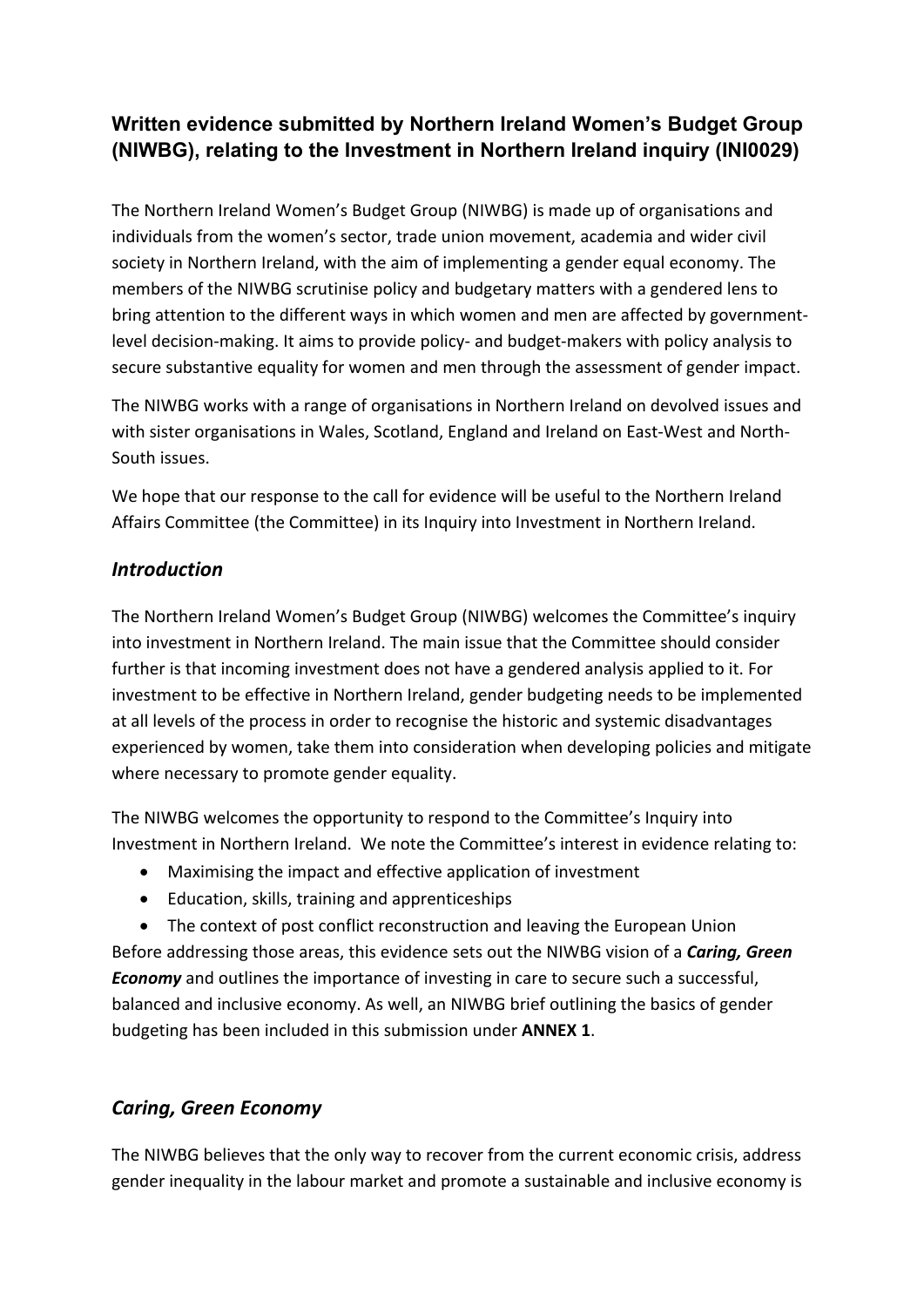# **Written evidence submitted by Northern Ireland Women's Budget Group (NIWBG), relating to the Investment in Northern Ireland inquiry (INI0029)**

The Northern Ireland Women's Budget Group (NIWBG) is made up of organisations and individuals from the women's sector, trade union movement, academia and wider civil society in Northern Ireland, with the aim of implementing a gender equal economy. The members of the NIWBG scrutinise policy and budgetary matters with a gendered lens to bring attention to the different ways in which women and men are affected by governmentlevel decision-making. It aims to provide policy- and budget-makers with policy analysis to secure substantive equality for women and men through the assessment of gender impact.

The NIWBG works with a range of organisations in Northern Ireland on devolved issues and with sister organisations in Wales, Scotland, England and Ireland on East-West and North-South issues.

We hope that our response to the call for evidence will be useful to the Northern Ireland Affairs Committee (the Committee) in its Inquiry into Investment in Northern Ireland.

## *Introduction*

The Northern Ireland Women's Budget Group (NIWBG) welcomes the Committee's inquiry into investment in Northern Ireland. The main issue that the Committee should consider further is that incoming investment does not have a gendered analysis applied to it. For investment to be effective in Northern Ireland, gender budgeting needs to be implemented at all levels of the process in order to recognise the historic and systemic disadvantages experienced by women, take them into consideration when developing policies and mitigate where necessary to promote gender equality.

The NIWBG welcomes the opportunity to respond to the Committee's Inquiry into Investment in Northern Ireland. We note the Committee's interest in evidence relating to:

- Maximising the impact and effective application of investment
- Education, skills, training and apprenticeships

• The context of post conflict reconstruction and leaving the European Union Before addressing those areas, this evidence sets out the NIWBG vision of a *Caring, Green Economy* and outlines the importance of investing in care to secure such a successful, balanced and inclusive economy. As well, an NIWBG brief outlining the basics of gender budgeting has been included in this submission under **ANNEX 1**.

# *Caring, Green Economy*

The NIWBG believes that the only way to recover from the current economic crisis, address gender inequality in the labour market and promote a sustainable and inclusive economy is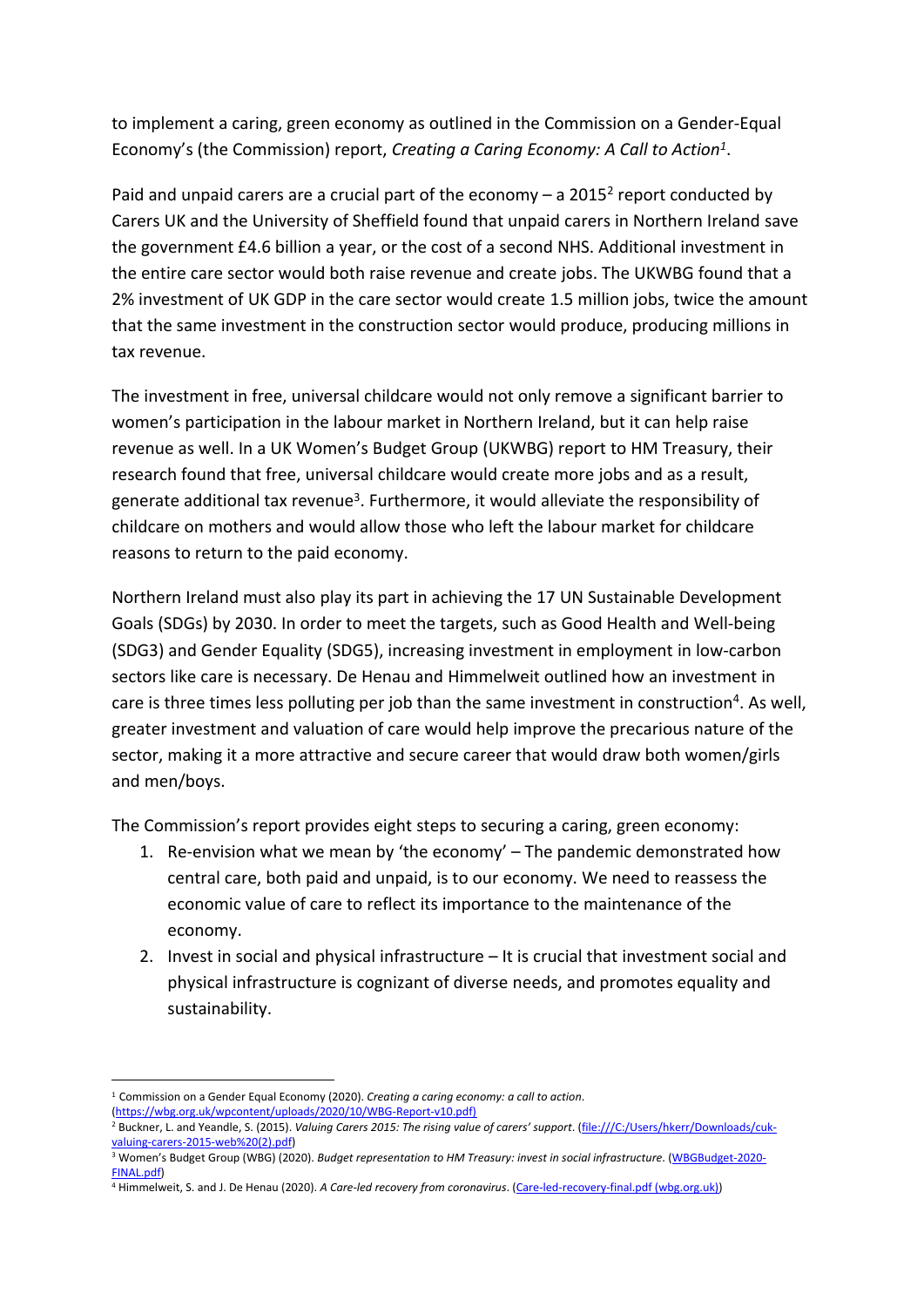to implement a caring, green economy as outlined in the Commission on a Gender-Equal Economy's (the Commission) report, *Creating a Caring Economy: A Call to Action<sup>1</sup>* .

Paid and unpaid carers are a crucial part of the economy  $-$  a 2015<sup>2</sup> report conducted by Carers UK and the University of Sheffield found that unpaid carers in Northern Ireland save the government £4.6 billion a year, or the cost of a second NHS. Additional investment in the entire care sector would both raise revenue and create jobs. The UKWBG found that a 2% investment of UK GDP in the care sector would create 1.5 million jobs, twice the amount that the same investment in the construction sector would produce, producing millions in tax revenue.

The investment in free, universal childcare would not only remove a significant barrier to women's participation in the labour market in Northern Ireland, but it can help raise revenue as well. In a UK Women's Budget Group (UKWBG) report to HM Treasury, their research found that free, universal childcare would create more jobs and as a result, generate additional tax revenue<sup>3</sup>. Furthermore, it would alleviate the responsibility of childcare on mothers and would allow those who left the labour market for childcare reasons to return to the paid economy.

Northern Ireland must also play its part in achieving the 17 UN Sustainable Development Goals (SDGs) by 2030. In order to meet the targets, such as Good Health and Well-being (SDG3) and Gender Equality (SDG5), increasing investment in employment in low-carbon sectors like care is necessary. De Henau and Himmelweit outlined how an investment in care is three times less polluting per job than the same investment in construction<sup>4</sup>. As well, greater investment and valuation of care would help improve the precarious nature of the sector, making it a more attractive and secure career that would draw both women/girls and men/boys.

The Commission's report provides eight steps to securing a caring, green economy:

- 1. Re-envision what we mean by 'the economy' The pandemic demonstrated how central care, both paid and unpaid, is to our economy. We need to reassess the economic value of care to reflect its importance to the maintenance of the economy.
- 2. Invest in social and physical infrastructure It is crucial that investment social and physical infrastructure is cognizant of diverse needs, and promotes equality and sustainability.

[\(https://wbg.org.uk/wpcontent/uploads/2020/10/WBG-Report-v10.pdf\)](https://wbg.org.uk/wp%02content/uploads/2020/10/WBG-Report-v10.pdf)

<sup>1</sup> Commission on a Gender Equal Economy (2020). *Creating a caring economy: a call to action*.

<sup>2</sup> Buckner, L. and Yeandle, S. (2015). *Valuing Carers 2015: The rising value of carers' support*. ([file:///C:/Users/hkerr/Downloads/cuk](file:///C://Users/hkerr/Downloads/cuk-valuing-carers-2015-web%20(2).pdf)[valuing-carers-2015-web%20\(2\).pdf](file:///C://Users/hkerr/Downloads/cuk-valuing-carers-2015-web%20(2).pdf))

<sup>3</sup> Women's Budget Group (WBG) (2020). *Budget representation to HM Treasury: invest in social infrastructure*. [\(WBGBudget-2020-](https://wbg.org.uk/wp-content/uploads/2020/01/WBG-Budget-2020-FINAL.pdf) [FINAL.pdf\)](https://wbg.org.uk/wp-content/uploads/2020/01/WBG-Budget-2020-FINAL.pdf)

<sup>4</sup> Himmelweit, S. and J. De Henau (2020). *A Care-led recovery from coronavirus*. ([Care-led-recovery-final.pdf](https://wbg.org.uk/wp-content/uploads/2020/06/Care-led-recovery-final.pdf) [\(wbg.org.uk\)](https://wbg.org.uk/wp-content/uploads/2020/06/Care-led-recovery-final.pdf))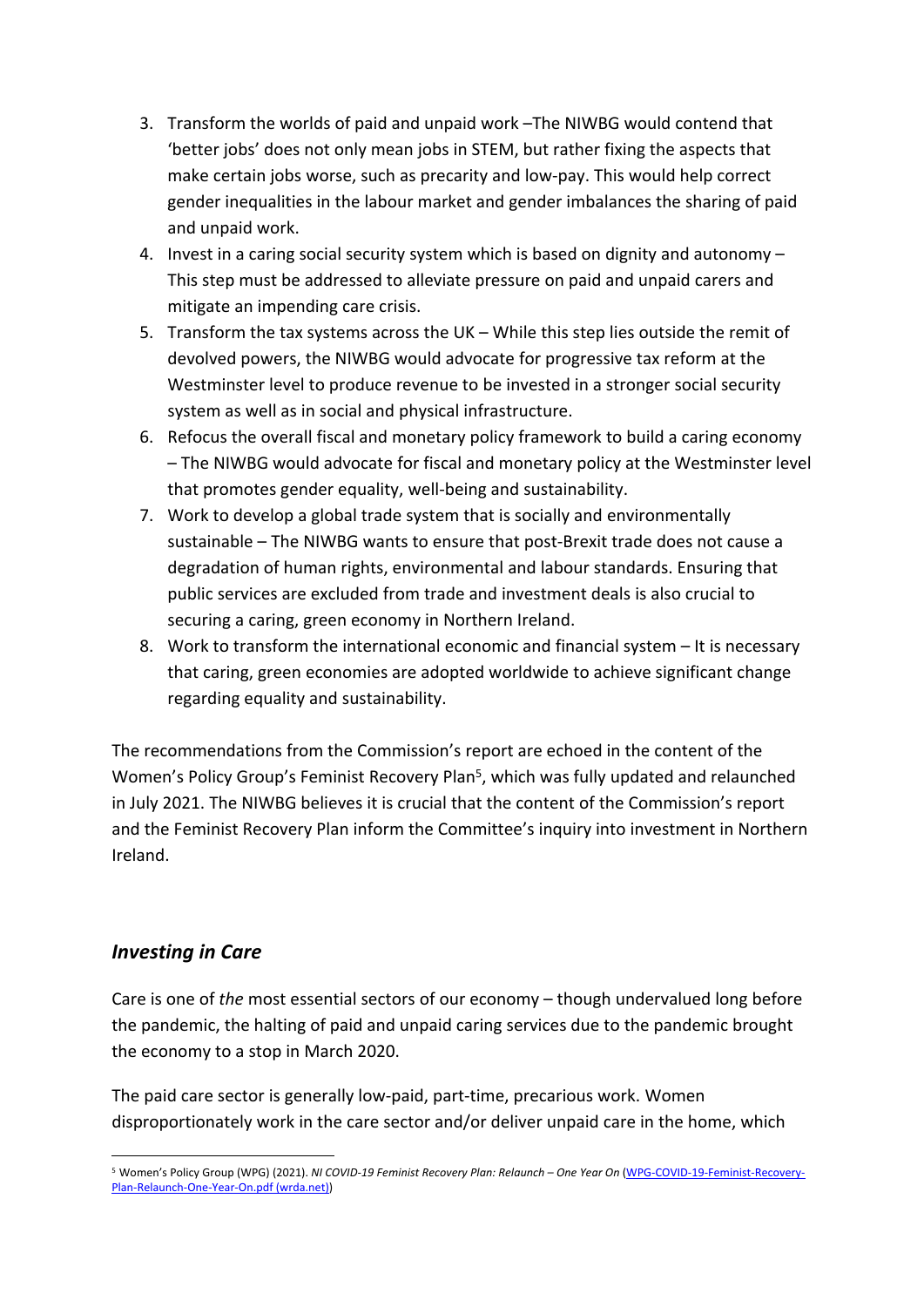- 3. Transform the worlds of paid and unpaid work –The NIWBG would contend that 'better jobs' does not only mean jobs in STEM, but rather fixing the aspects that make certain jobs worse, such as precarity and low-pay. This would help correct gender inequalities in the labour market and gender imbalances the sharing of paid and unpaid work.
- 4. Invest in a caring social security system which is based on dignity and autonomy This step must be addressed to alleviate pressure on paid and unpaid carers and mitigate an impending care crisis.
- 5. Transform the tax systems across the UK While this step lies outside the remit of devolved powers, the NIWBG would advocate for progressive tax reform at the Westminster level to produce revenue to be invested in a stronger social security system as well as in social and physical infrastructure.
- 6. Refocus the overall fiscal and monetary policy framework to build a caring economy – The NIWBG would advocate for fiscal and monetary policy at the Westminster level that promotes gender equality, well-being and sustainability.
- 7. Work to develop a global trade system that is socially and environmentally sustainable – The NIWBG wants to ensure that post-Brexit trade does not cause a degradation of human rights, environmental and labour standards. Ensuring that public services are excluded from trade and investment deals is also crucial to securing a caring, green economy in Northern Ireland.
- 8. Work to transform the international economic and financial system It is necessary that caring, green economies are adopted worldwide to achieve significant change regarding equality and sustainability.

The recommendations from the Commission's report are echoed in the content of the Women's Policy Group's Feminist Recovery Plan<sup>5</sup>, which was fully updated and relaunched in July 2021. The NIWBG believes it is crucial that the content of the Commission's report and the Feminist Recovery Plan inform the Committee's inquiry into investment in Northern Ireland.

## *Investing in Care*

Care is one of *the* most essential sectors of our economy – though undervalued long before the pandemic, the halting of paid and unpaid caring services due to the pandemic brought the economy to a stop in March 2020.

The paid care sector is generally low-paid, part-time, precarious work. Women disproportionately work in the care sector and/or deliver unpaid care in the home, which

<sup>5</sup> Women's Policy Group (WPG) (2021). *NI COVID-19 Feminist Recovery Plan: Relaunch – One Year On* ([WPG-COVID-19-Feminist-Recovery-](https://wrda.net/wp-content/uploads/2021/07/WPG-COVID-19-Feminist-Recovery-Plan-Relaunch-One-Year-On.pdf)[Plan-Relaunch-One-Year-On.pdf](https://wrda.net/wp-content/uploads/2021/07/WPG-COVID-19-Feminist-Recovery-Plan-Relaunch-One-Year-On.pdf) [\(wrda.net\)](https://wrda.net/wp-content/uploads/2021/07/WPG-COVID-19-Feminist-Recovery-Plan-Relaunch-One-Year-On.pdf))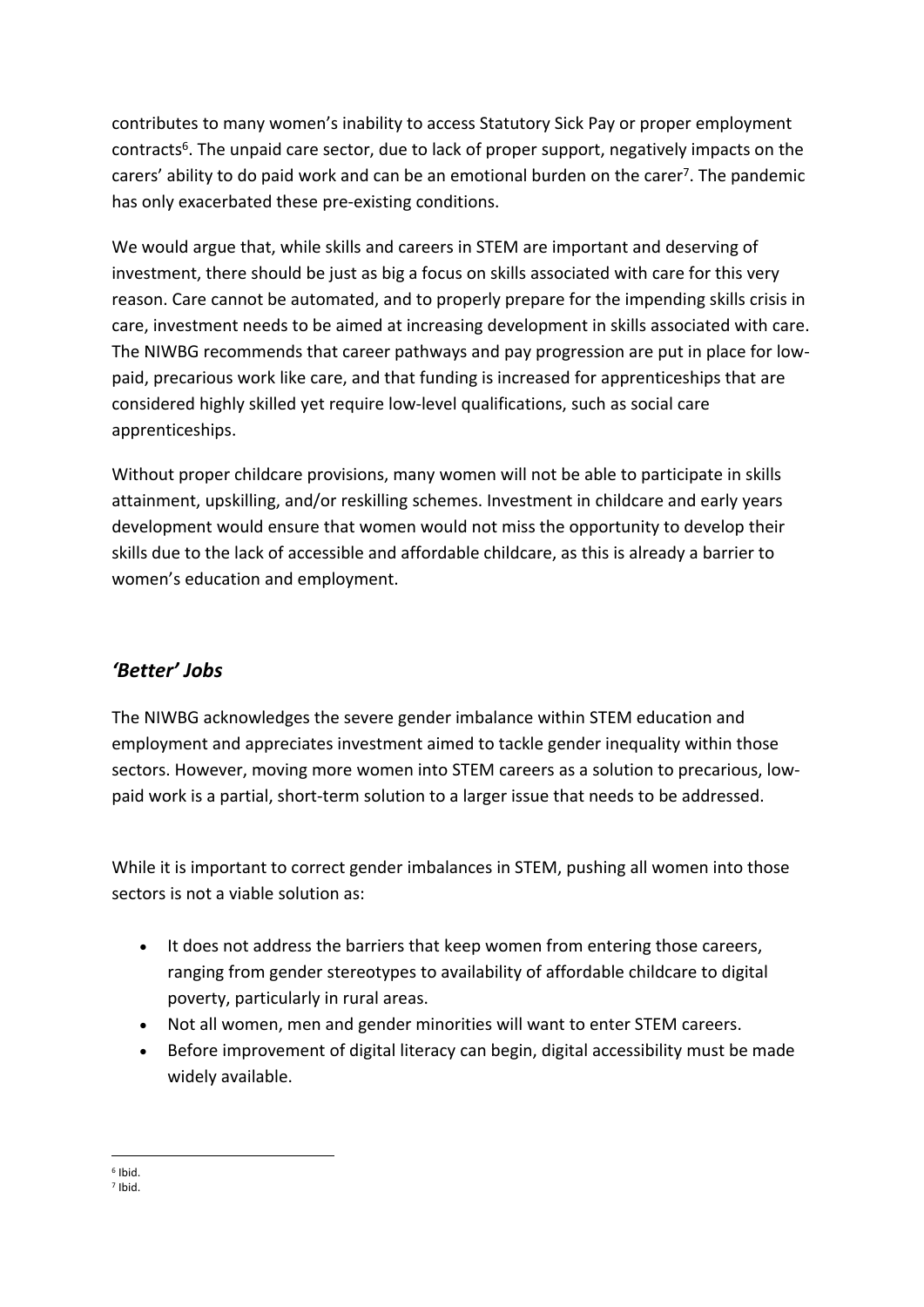contributes to many women's inability to access Statutory Sick Pay or proper employment contracts<sup>6</sup>. The unpaid care sector, due to lack of proper support, negatively impacts on the carers' ability to do paid work and can be an emotional burden on the carer<sup>7</sup>. The pandemic has only exacerbated these pre-existing conditions.

We would argue that, while skills and careers in STEM are important and deserving of investment, there should be just as big a focus on skills associated with care for this very reason. Care cannot be automated, and to properly prepare for the impending skills crisis in care, investment needs to be aimed at increasing development in skills associated with care. The NIWBG recommends that career pathways and pay progression are put in place for lowpaid, precarious work like care, and that funding is increased for apprenticeships that are considered highly skilled yet require low-level qualifications, such as social care apprenticeships.

Without proper childcare provisions, many women will not be able to participate in skills attainment, upskilling, and/or reskilling schemes. Investment in childcare and early years development would ensure that women would not miss the opportunity to develop their skills due to the lack of accessible and affordable childcare, as this is already a barrier to women's education and employment.

# *'Better' Jobs*

The NIWBG acknowledges the severe gender imbalance within STEM education and employment and appreciates investment aimed to tackle gender inequality within those sectors. However, moving more women into STEM careers as a solution to precarious, lowpaid work is a partial, short-term solution to a larger issue that needs to be addressed.

While it is important to correct gender imbalances in STEM, pushing all women into those sectors is not a viable solution as:

- It does not address the barriers that keep women from entering those careers, ranging from gender stereotypes to availability of affordable childcare to digital poverty, particularly in rural areas.
- Not all women, men and gender minorities will want to enter STEM careers.
- Before improvement of digital literacy can begin, digital accessibility must be made widely available.

<sup>6</sup> Ibid.

<sup>7</sup> Ibid.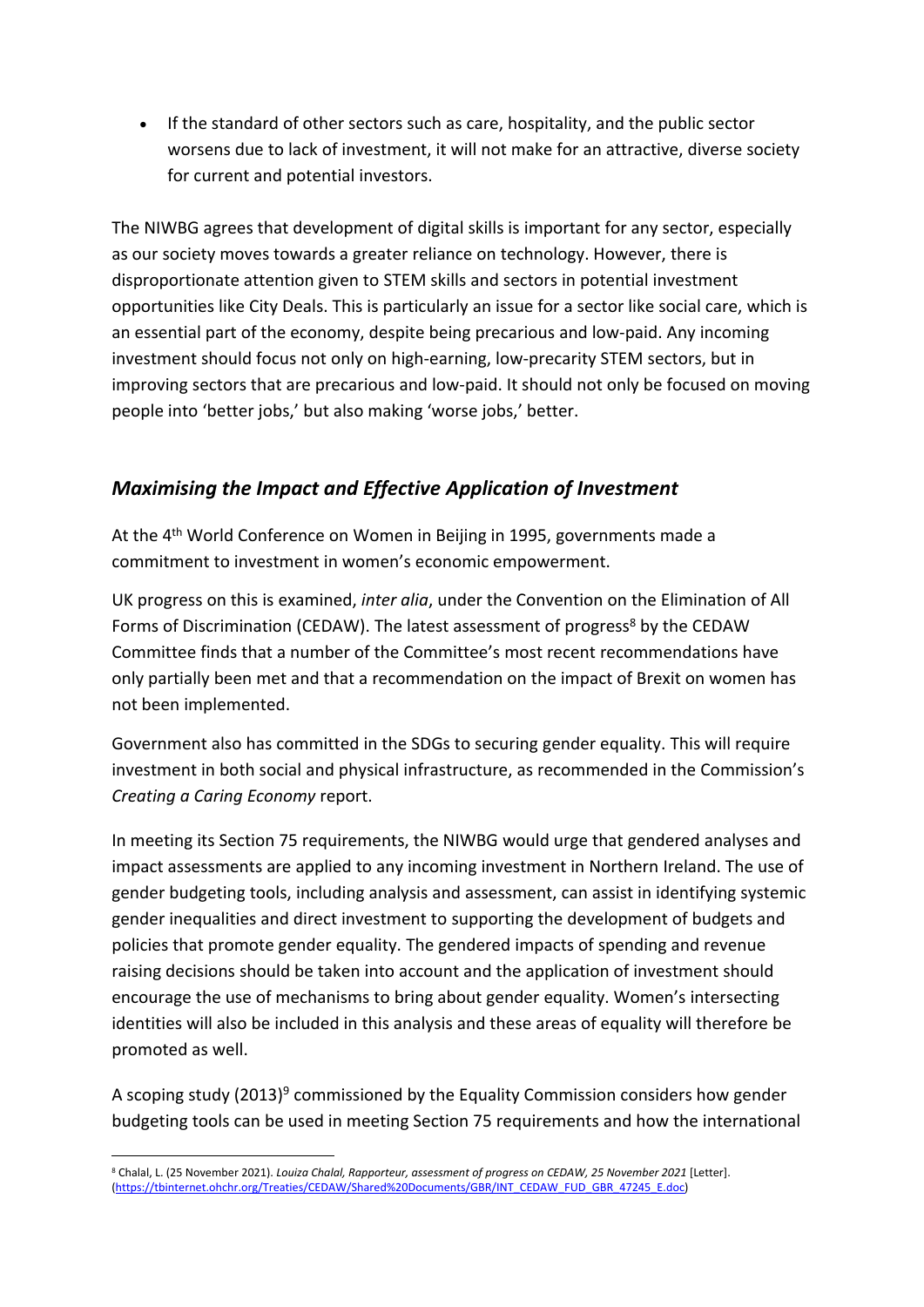If the standard of other sectors such as care, hospitality, and the public sector worsens due to lack of investment, it will not make for an attractive, diverse society for current and potential investors.

The NIWBG agrees that development of digital skills is important for any sector, especially as our society moves towards a greater reliance on technology. However, there is disproportionate attention given to STEM skills and sectors in potential investment opportunities like City Deals. This is particularly an issue for a sector like social care, which is an essential part of the economy, despite being precarious and low-paid. Any incoming investment should focus not only on high-earning, low-precarity STEM sectors, but in improving sectors that are precarious and low-paid. It should not only be focused on moving people into 'better jobs,' but also making 'worse jobs,' better.

# *Maximising the Impact and Effective Application of Investment*

At the 4<sup>th</sup> World Conference on Women in Beijing in 1995, governments made a commitment to investment in women's economic empowerment.

UK progress on this is examined, *inter alia*, under the Convention on the Elimination of All Forms of Discrimination (CEDAW). The latest assessment of progress<sup>8</sup> by the CEDAW Committee finds that a number of the Committee's most recent recommendations have only partially been met and that a recommendation on the impact of Brexit on women has not been implemented.

Government also has committed in the SDGs to securing gender equality. This will require investment in both social and physical infrastructure, as recommended in the Commission's *Creating a Caring Economy* report.

In meeting its Section 75 requirements, the NIWBG would urge that gendered analyses and impact assessments are applied to any incoming investment in Northern Ireland. The use of gender budgeting tools, including analysis and assessment, can assist in identifying systemic gender inequalities and direct investment to supporting the development of budgets and policies that promote gender equality. The gendered impacts of spending and revenue raising decisions should be taken into account and the application of investment should encourage the use of mechanisms to bring about gender equality. Women's intersecting identities will also be included in this analysis and these areas of equality will therefore be promoted as well.

A scoping study (2013)<sup>9</sup> commissioned by the Equality Commission considers how gender budgeting tools can be used in meeting Section 75 requirements and how the international

<sup>8</sup> Chalal, L. (25 November 2021). *Louiza Chalal, Rapporteur, assessment of progress on CEDAW, 25 November 2021* [Letter]. [\(https://tbinternet.ohchr.org/Treaties/CEDAW/Shared%20Documents/GBR/INT\\_CEDAW\\_FUD\\_GBR\\_47245\\_E.doc\)](https://tbinternet.ohchr.org/Treaties/CEDAW/Shared%20Documents/GBR/INT_CEDAW_FUD_GBR_47245_E.doc)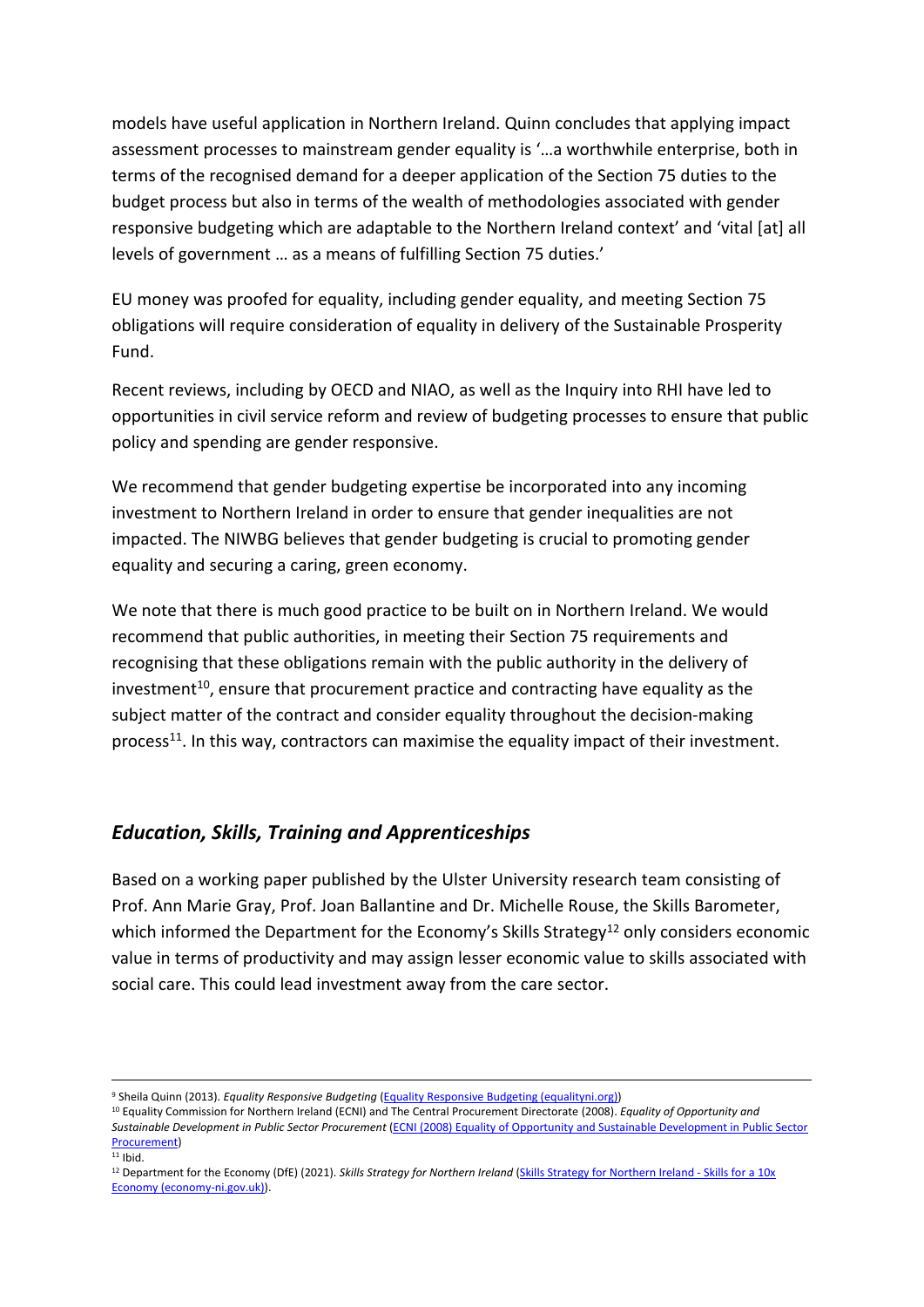models have useful application in Northern Ireland. Quinn concludes that applying impact assessment processes to mainstream gender equality is '…a worthwhile enterprise, both in terms of the recognised demand for a deeper application of the Section 75 duties to the budget process but also in terms of the wealth of methodologies associated with gender responsive budgeting which are adaptable to the Northern Ireland context' and 'vital [at] all levels of government … as a means of fulfilling Section 75 duties.'

EU money was proofed for equality, including gender equality, and meeting Section 75 obligations will require consideration of equality in delivery of the Sustainable Prosperity Fund.

Recent reviews, including by OECD and NIAO, as well as the Inquiry into RHI have led to opportunities in civil service reform and review of budgeting processes to ensure that public policy and spending are gender responsive.

We recommend that gender budgeting expertise be incorporated into any incoming investment to Northern Ireland in order to ensure that gender inequalities are not impacted. The NIWBG believes that gender budgeting is crucial to promoting gender equality and securing a caring, green economy.

We note that there is much good practice to be built on in Northern Ireland. We would recommend that public authorities, in meeting their Section 75 requirements and recognising that these obligations remain with the public authority in the delivery of investment<sup>10</sup>, ensure that procurement practice and contracting have equality as the subject matter of the contract and consider equality throughout the decision-making process<sup>11</sup>. In this way, contractors can maximise the equality impact of their investment.

## *Education, Skills, Training and Apprenticeships*

Based on a working paper published by the Ulster University research team consisting of Prof. Ann Marie Gray, Prof. Joan Ballantine and Dr. Michelle Rouse, the Skills Barometer, which informed the Department for the Economy's Skills Strategy<sup>12</sup> only considers economic value in terms of productivity and may assign lesser economic value to skills associated with social care. This could lead investment away from the care sector.

<sup>9</sup> Sheila Quinn (2013). *Equality Responsive Budgeting* [\(Equality](https://www.equalityni.org/ECNI/media/ECNI/Publications/Employers%20and%20Service%20Providers/Equalityresponsivebugeting2013.pdf?ext=.pdf) [Responsive](https://www.equalityni.org/ECNI/media/ECNI/Publications/Employers%20and%20Service%20Providers/Equalityresponsivebugeting2013.pdf?ext=.pdf) [Budgeting](https://www.equalityni.org/ECNI/media/ECNI/Publications/Employers%20and%20Service%20Providers/Equalityresponsivebugeting2013.pdf?ext=.pdf) [\(equalityni.org\)](https://www.equalityni.org/ECNI/media/ECNI/Publications/Employers%20and%20Service%20Providers/Equalityresponsivebugeting2013.pdf?ext=.pdf))

<sup>10</sup> Equality Commission for Northern Ireland (ECNI) and The Central Procurement Directorate (2008). *Equality of Opportunity and Sustainable Development in Public Sector Procurement* [\(ECNI](https://www.equalityni.org/ECNI/media/ECNI/Publications/Employers%20and%20Service%20Providers/Equalityinpublicsectorprocurement2008.pdf?ext=.pdf) [\(2008\)](https://www.equalityni.org/ECNI/media/ECNI/Publications/Employers%20and%20Service%20Providers/Equalityinpublicsectorprocurement2008.pdf?ext=.pdf) [Equality](https://www.equalityni.org/ECNI/media/ECNI/Publications/Employers%20and%20Service%20Providers/Equalityinpublicsectorprocurement2008.pdf?ext=.pdf) [of](https://www.equalityni.org/ECNI/media/ECNI/Publications/Employers%20and%20Service%20Providers/Equalityinpublicsectorprocurement2008.pdf?ext=.pdf) [Opportunity](https://www.equalityni.org/ECNI/media/ECNI/Publications/Employers%20and%20Service%20Providers/Equalityinpublicsectorprocurement2008.pdf?ext=.pdf) [and](https://www.equalityni.org/ECNI/media/ECNI/Publications/Employers%20and%20Service%20Providers/Equalityinpublicsectorprocurement2008.pdf?ext=.pdf) [Sustainable](https://www.equalityni.org/ECNI/media/ECNI/Publications/Employers%20and%20Service%20Providers/Equalityinpublicsectorprocurement2008.pdf?ext=.pdf) [Development](https://www.equalityni.org/ECNI/media/ECNI/Publications/Employers%20and%20Service%20Providers/Equalityinpublicsectorprocurement2008.pdf?ext=.pdf) [in](https://www.equalityni.org/ECNI/media/ECNI/Publications/Employers%20and%20Service%20Providers/Equalityinpublicsectorprocurement2008.pdf?ext=.pdf) [Public](https://www.equalityni.org/ECNI/media/ECNI/Publications/Employers%20and%20Service%20Providers/Equalityinpublicsectorprocurement2008.pdf?ext=.pdf) [Sector](https://www.equalityni.org/ECNI/media/ECNI/Publications/Employers%20and%20Service%20Providers/Equalityinpublicsectorprocurement2008.pdf?ext=.pdf) [Procurement\)](https://www.equalityni.org/ECNI/media/ECNI/Publications/Employers%20and%20Service%20Providers/Equalityinpublicsectorprocurement2008.pdf?ext=.pdf)

<sup>12</sup> Department for the Economy (DfE) (2021). *Skills Strategy for Northern Ireland* [\(Skills](https://www.economy-ni.gov.uk/sites/default/files/consultations/economy/skills-strategy-10x-economy-consultation.pdf) [Strategy](https://www.economy-ni.gov.uk/sites/default/files/consultations/economy/skills-strategy-10x-economy-consultation.pdf) [for](https://www.economy-ni.gov.uk/sites/default/files/consultations/economy/skills-strategy-10x-economy-consultation.pdf) [Northern](https://www.economy-ni.gov.uk/sites/default/files/consultations/economy/skills-strategy-10x-economy-consultation.pdf) [Ireland](https://www.economy-ni.gov.uk/sites/default/files/consultations/economy/skills-strategy-10x-economy-consultation.pdf) [-](https://www.economy-ni.gov.uk/sites/default/files/consultations/economy/skills-strategy-10x-economy-consultation.pdf) [Skills](https://www.economy-ni.gov.uk/sites/default/files/consultations/economy/skills-strategy-10x-economy-consultation.pdf) [for](https://www.economy-ni.gov.uk/sites/default/files/consultations/economy/skills-strategy-10x-economy-consultation.pdf) [a](https://www.economy-ni.gov.uk/sites/default/files/consultations/economy/skills-strategy-10x-economy-consultation.pdf) [10x](https://www.economy-ni.gov.uk/sites/default/files/consultations/economy/skills-strategy-10x-economy-consultation.pdf) [Economy](https://www.economy-ni.gov.uk/sites/default/files/consultations/economy/skills-strategy-10x-economy-consultation.pdf) [\(economy-ni.gov.uk\)\)](https://www.economy-ni.gov.uk/sites/default/files/consultations/economy/skills-strategy-10x-economy-consultation.pdf).

 $11$  Ibid.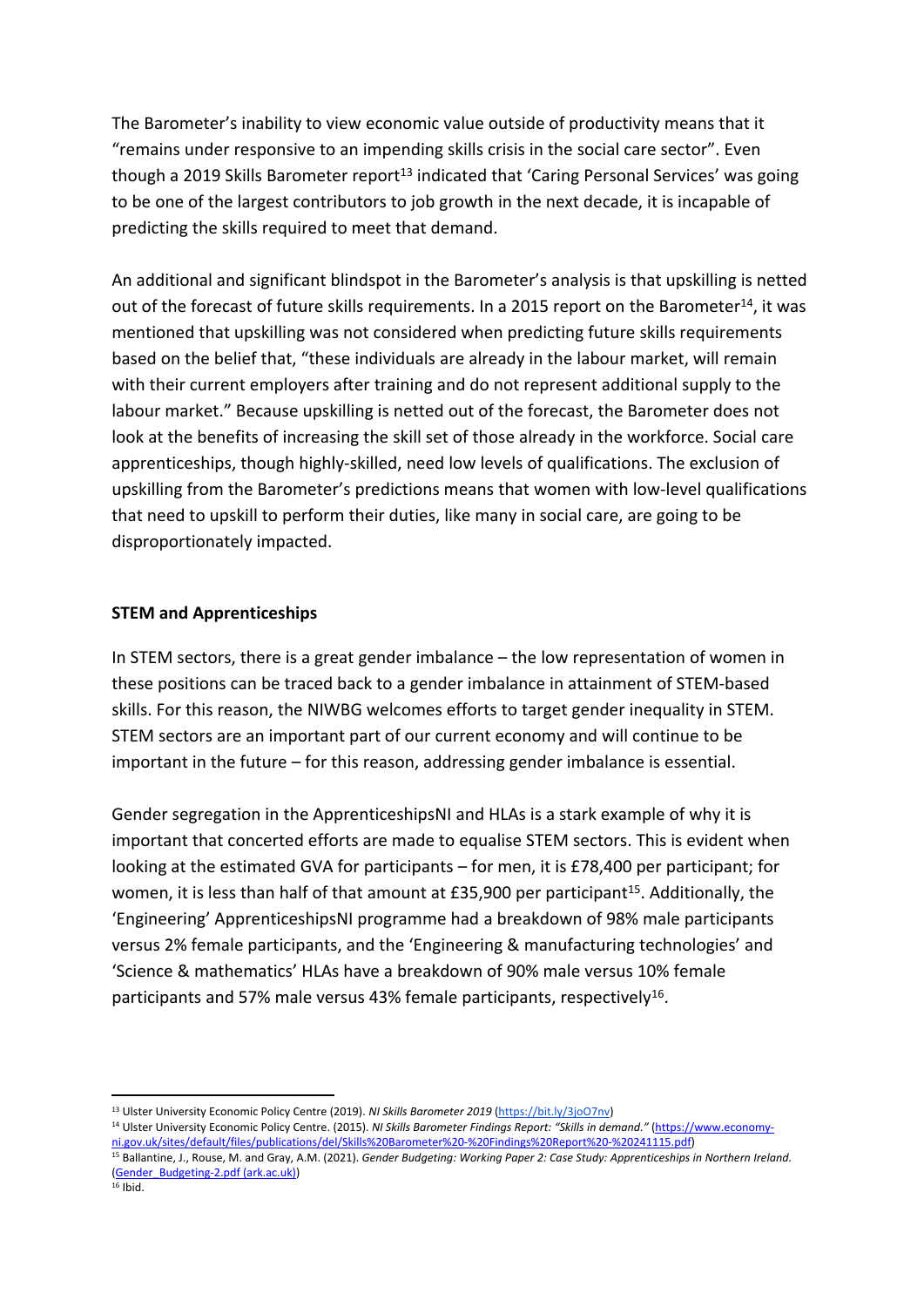The Barometer's inability to view economic value outside of productivity means that it "remains under responsive to an impending skills crisis in the social care sector". Even though a 2019 Skills Barometer report<sup>13</sup> indicated that 'Caring Personal Services' was going to be one of the largest contributors to job growth in the next decade, it is incapable of predicting the skills required to meet that demand.

An additional and significant blindspot in the Barometer's analysis is that upskilling is netted out of the forecast of future skills requirements. In a 2015 report on the Barometer<sup>14</sup>, it was mentioned that upskilling was not considered when predicting future skills requirements based on the belief that, "these individuals are already in the labour market, will remain with their current employers after training and do not represent additional supply to the labour market." Because upskilling is netted out of the forecast, the Barometer does not look at the benefits of increasing the skill set of those already in the workforce. Social care apprenticeships, though highly-skilled, need low levels of qualifications. The exclusion of upskilling from the Barometer's predictions means that women with low-level qualifications that need to upskill to perform their duties, like many in social care, are going to be disproportionately impacted.

### **STEM and Apprenticeships**

In STEM sectors, there is a great gender imbalance – the low representation of women in these positions can be traced back to a gender imbalance in attainment of STEM-based skills. For this reason, the NIWBG welcomes efforts to target gender inequality in STEM. STEM sectors are an important part of our current economy and will continue to be important in the future – for this reason, addressing gender imbalance is essential.

Gender segregation in the ApprenticeshipsNI and HLAs is a stark example of why it is important that concerted efforts are made to equalise STEM sectors. This is evident when looking at the estimated GVA for participants – for men, it is £78,400 per participant; for women, it is less than half of that amount at £35,900 per participant<sup>15</sup>. Additionally, the 'Engineering' ApprenticeshipsNI programme had a breakdown of 98% male participants versus 2% female participants, and the 'Engineering & manufacturing technologies' and 'Science & mathematics' HLAs have a breakdown of 90% male versus 10% female participants and 57% male versus 43% female participants, respectively<sup>16</sup>.

<sup>13</sup> Ulster University Economic Policy Centre (2019). *NI Skills Barometer 2019* [\(https://bit.ly/3joO7nv](https://bit.ly/3joO7nv))

<sup>14</sup> Ulster University Economic Policy Centre. (2015). *NI Skills Barometer Findings Report: "Skills in demand."* [\(https://www.economy](https://www.economy-ni.gov.uk/sites/default/files/publications/del/Skills%20Barometer%20-%20Findings%20Report%20-%20241115.pdf)[ni.gov.uk/sites/default/files/publications/del/Skills%20Barometer%20-%20Findings%20Report%20-%20241115.pdf\)](https://www.economy-ni.gov.uk/sites/default/files/publications/del/Skills%20Barometer%20-%20Findings%20Report%20-%20241115.pdf)

<sup>15</sup> Ballantine, J., Rouse, M. and Gray, A.M. (2021). *Gender Budgeting: Working Paper 2: Case Study: Apprenticeships in Northern Ireland.* [\(Gender\\_Budgeting-2.pdf](https://www.ark.ac.uk/ARK/sites/default/files/2021-02/Gender_Budgeting-2.pdf) [\(ark.ac.uk\)\)](https://www.ark.ac.uk/ARK/sites/default/files/2021-02/Gender_Budgeting-2.pdf)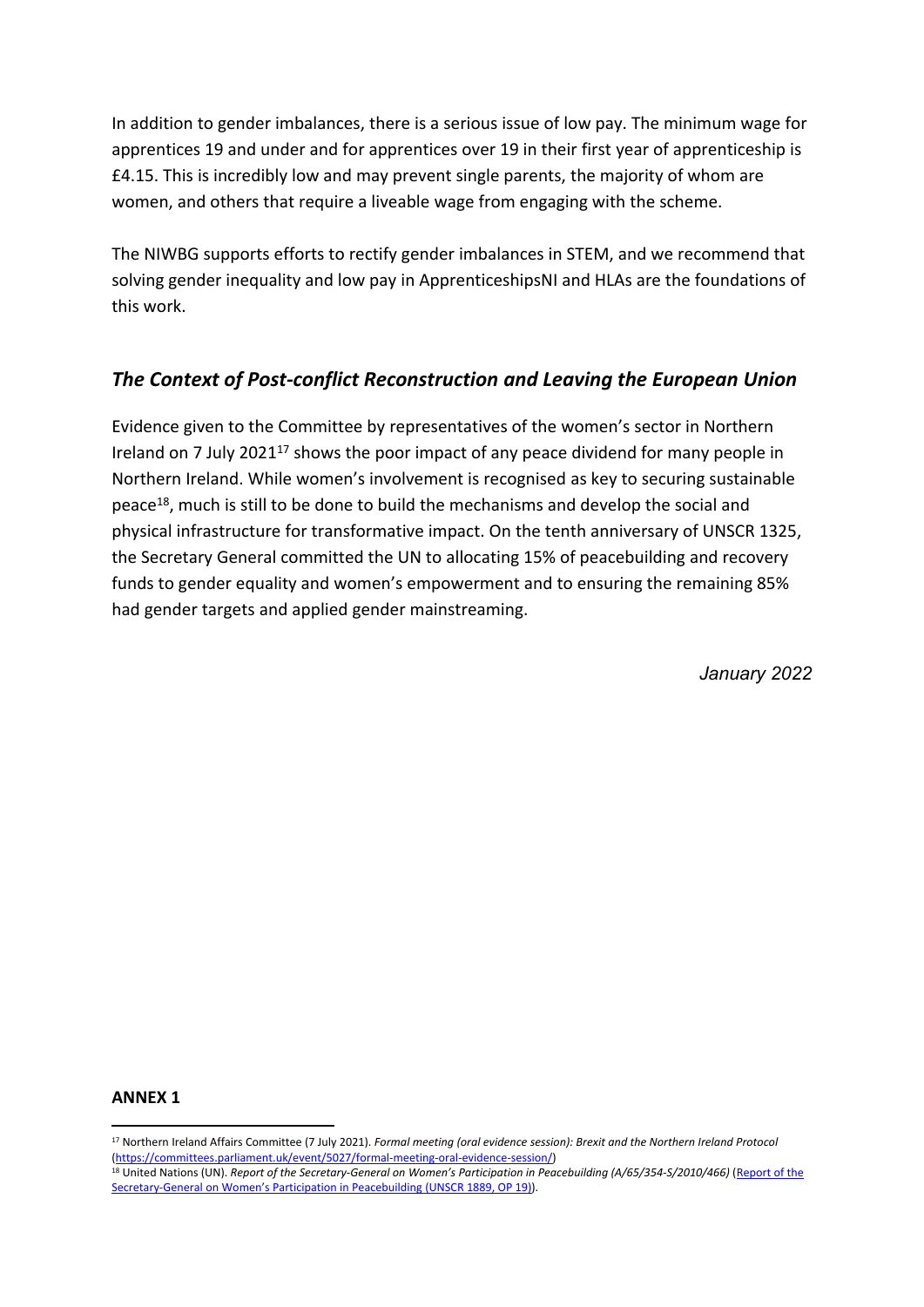In addition to gender imbalances, there is a serious issue of low pay. The minimum wage for apprentices 19 and under and for apprentices over 19 in their first year of apprenticeship is £4.15. This is incredibly low and may prevent single parents, the majority of whom are women, and others that require a liveable wage from engaging with the scheme.

The NIWBG supports efforts to rectify gender imbalances in STEM, and we recommend that solving gender inequality and low pay in ApprenticeshipsNI and HLAs are the foundations of this work.

# *The Context of Post-conflict Reconstruction and Leaving the European Union*

Evidence given to the Committee by representatives of the women's sector in Northern Ireland on 7 July 2021<sup>17</sup> shows the poor impact of any peace dividend for many people in Northern Ireland. While women's involvement is recognised as key to securing sustainable peace<sup>18</sup>, much is still to be done to build the mechanisms and develop the social and physical infrastructure for transformative impact. On the tenth anniversary of UNSCR 1325, the Secretary General committed the UN to allocating 15% of peacebuilding and recovery funds to gender equality and women's empowerment and to ensuring the remaining 85% had gender targets and applied gender mainstreaming.

*January 2022*

#### **ANNEX 1**

<sup>17</sup> Northern Ireland Affairs Committee (7 July 2021). *Formal meeting (oral evidence session): Brexit and the Northern Ireland Protocol* [\(https://committees.parliament.uk/event/5027/formal-meeting-oral-evidence-session/](https://committees.parliament.uk/event/5027/formal-meeting-oral-evidence-session/))

<sup>18</sup> United Nations (UN). *Report of the Secretary-General on Women's Participation in Peacebuilding (A/65/354-S/2010/466)* ([Report](https://www.un.org/peacebuilding/sites/www.un.org.peacebuilding/files/documents/seven_point_action_plan.pdf) [of](https://www.un.org/peacebuilding/sites/www.un.org.peacebuilding/files/documents/seven_point_action_plan.pdf) [the](https://www.un.org/peacebuilding/sites/www.un.org.peacebuilding/files/documents/seven_point_action_plan.pdf) [Secretary-General](https://www.un.org/peacebuilding/sites/www.un.org.peacebuilding/files/documents/seven_point_action_plan.pdf) [on](https://www.un.org/peacebuilding/sites/www.un.org.peacebuilding/files/documents/seven_point_action_plan.pdf) [Women's](https://www.un.org/peacebuilding/sites/www.un.org.peacebuilding/files/documents/seven_point_action_plan.pdf) [Participation](https://www.un.org/peacebuilding/sites/www.un.org.peacebuilding/files/documents/seven_point_action_plan.pdf) [in](https://www.un.org/peacebuilding/sites/www.un.org.peacebuilding/files/documents/seven_point_action_plan.pdf) [Peacebuilding](https://www.un.org/peacebuilding/sites/www.un.org.peacebuilding/files/documents/seven_point_action_plan.pdf) [\(UNSCR](https://www.un.org/peacebuilding/sites/www.un.org.peacebuilding/files/documents/seven_point_action_plan.pdf) [1889,](https://www.un.org/peacebuilding/sites/www.un.org.peacebuilding/files/documents/seven_point_action_plan.pdf) [OP](https://www.un.org/peacebuilding/sites/www.un.org.peacebuilding/files/documents/seven_point_action_plan.pdf) [19\)\)](https://www.un.org/peacebuilding/sites/www.un.org.peacebuilding/files/documents/seven_point_action_plan.pdf).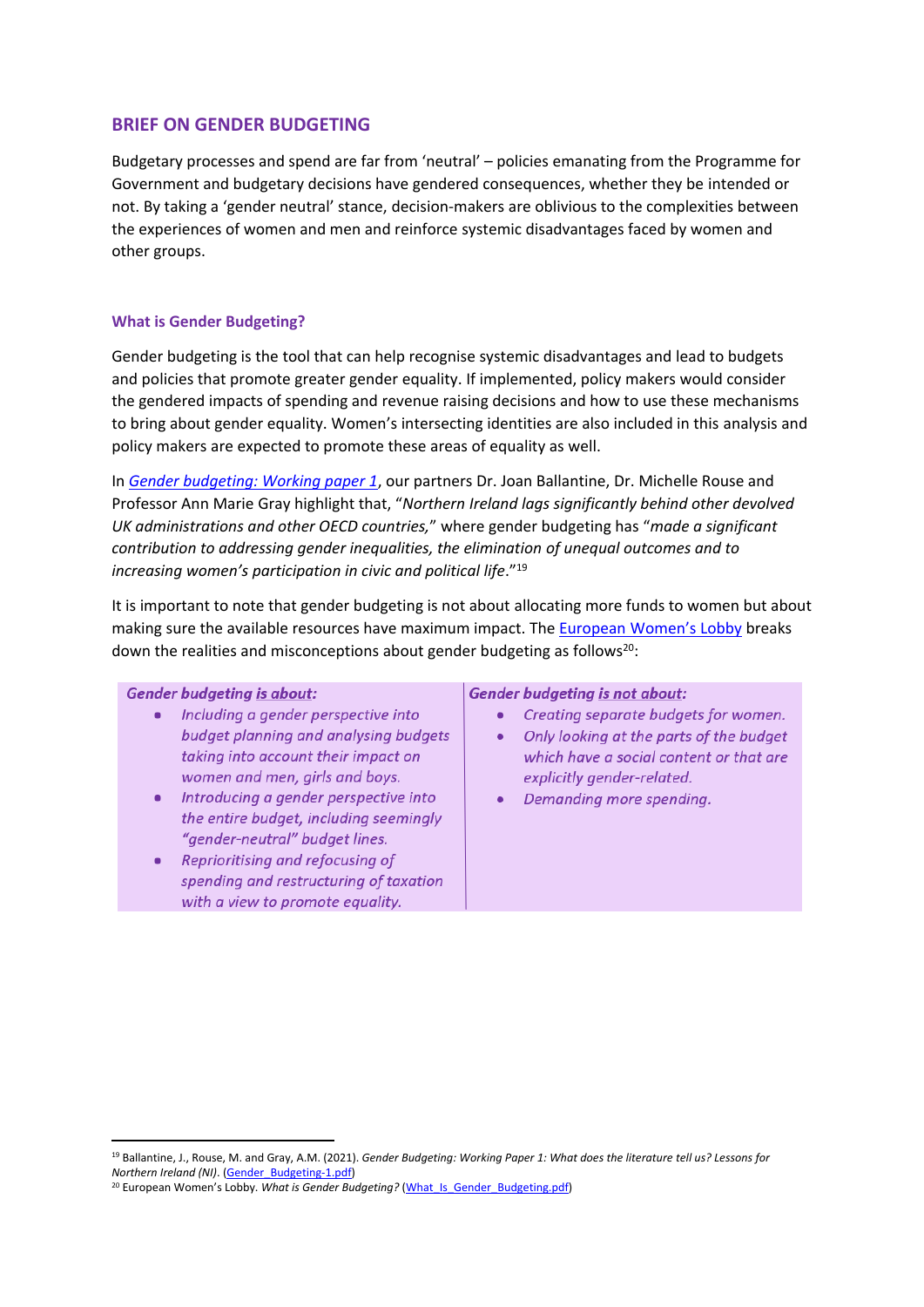### **BRIEF ON GENDER BUDGETING**

Budgetary processes and spend are far from 'neutral' – policies emanating from the Programme for Government and budgetary decisions have gendered consequences, whether they be intended or not. By taking a 'gender neutral' stance, decision-makers are oblivious to the complexities between the experiences of women and men and reinforce systemic disadvantages faced by women and other groups.

#### **What is Gender Budgeting?**

Gender budgeting is the tool that can help recognise systemic disadvantages and lead to budgets and policies that promote greater gender equality. If implemented, policy makers would consider the gendered impacts of spending and revenue raising decisions and how to use these mechanisms to bring about gender equality. Women's intersecting identities are also included in this analysis and policy makers are expected to promote these areas of equality as well.

In *[Gender](https://www.ark.ac.uk/ARK/sites/default/files/2021-02/Gender_Budgeting-1.pdf) [budgeting:](https://www.ark.ac.uk/ARK/sites/default/files/2021-02/Gender_Budgeting-1.pdf) [Working](https://www.ark.ac.uk/ARK/sites/default/files/2021-02/Gender_Budgeting-1.pdf) [paper](https://www.ark.ac.uk/ARK/sites/default/files/2021-02/Gender_Budgeting-1.pdf) [1](https://www.ark.ac.uk/ARK/sites/default/files/2021-02/Gender_Budgeting-1.pdf)*, our partners Dr. Joan Ballantine, Dr. Michelle Rouse and Professor Ann Marie Gray highlight that, "*Northern Ireland lags significantly behind other devolved UK administrations and other OECD countries,*" where gender budgeting has "*made a significant contribution to addressing gender inequalities, the elimination of unequal outcomes and to increasing women's participation in civic and political life*."<sup>19</sup>

It is important to note that gender budgeting is not about allocating more funds to women but about making sure the available resources have maximum impact. The **[European](file:///C://Users/hkerr/Downloads/EWL%20-%20Gender%20budgeting%20two-pager.pdf) [Women's](file:///C://Users/hkerr/Downloads/EWL%20-%20Gender%20budgeting%20two-pager.pdf) [Lobby](file:///C://Users/hkerr/Downloads/EWL%20-%20Gender%20budgeting%20two-pager.pdf)** breaks down the realities and misconceptions about gender budgeting as follows<sup>20</sup>:

#### **Gender budgeting is about:**

- · Including a gender perspective into budget planning and analysing budgets taking into account their impact on women and men, girls and boys.
- Introducing a gender perspective into the entire budget, including seemingly "gender-neutral" budget lines.
- Reprioritising and refocusing of spending and restructuring of taxation with a view to promote equality.

#### **Gender budgeting is not about:**

- Creating separate budgets for women.
- Only looking at the parts of the budget which have a social content or that are explicitly gender-related.
- Demanding more spending.

<sup>19</sup> Ballantine, J., Rouse, M. and Gray, A.M. (2021). *Gender Budgeting: Working Paper 1: What does the literature tell us? Lessons for Northern Ireland (NI)*. [\(Gender\\_Budgeting-1.pdf\)](file:///C:/Users/hkerr/OneDrive%20-%20niwbg.org/Desktop/Gender_Budgeting-1.pdf)

<sup>&</sup>lt;sup>20</sup> European Women's Lobby. What is Gender Budgeting? (What Is Gender Budgeting.pdf)